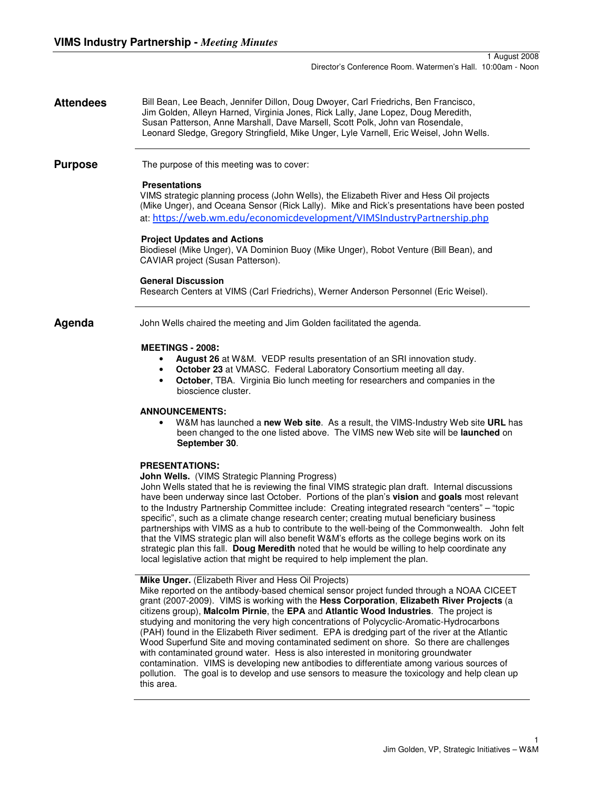**Attendees** Bill Bean, Lee Beach, Jennifer Dillon, Doug Dwoyer, Carl Friedrichs, Ben Francisco, Jim Golden, Alleyn Harned, Virginia Jones, Rick Lally, Jane Lopez, Doug Meredith, Susan Patterson, Anne Marshall, Dave Marsell, Scott Polk, John van Rosendale, Leonard Sledge, Gregory Stringfield, Mike Unger, Lyle Varnell, Eric Weisel, John Wells.

**Purpose** The purpose of this meeting was to cover:

#### **Presentations**

VIMS strategic planning process (John Wells), the Elizabeth River and Hess Oil projects (Mike Unger), and Oceana Sensor (Rick Lally). Mike and Rick's presentations have been posted at: https://web.wm.edu/economicdevelopment/VIMSIndustryPartnership.php

#### **Project Updates and Actions**

Biodiesel (Mike Unger), VA Dominion Buoy (Mike Unger), Robot Venture (Bill Bean), and CAVIAR project (Susan Patterson).

#### **General Discussion**

Research Centers at VIMS (Carl Friedrichs), Werner Anderson Personnel (Eric Weisel).

## Agenda John Wells chaired the meeting and Jim Golden facilitated the agenda.

#### **MEETINGS - 2008:**

- **August 26** at W&M. VEDP results presentation of an SRI innovation study.
- **October 23** at VMASC. Federal Laboratory Consortium meeting all day.
- **October**, TBA. Virginia Bio lunch meeting for researchers and companies in the bioscience cluster.

# **ANNOUNCEMENTS:**

• W&M has launched a **new Web site**. As a result, the VIMS-Industry Web site **URL** has been changed to the one listed above. The VIMS new Web site will be **launched** on **September 30**.

### **PRESENTATIONS:**

#### **John Wells.** (VIMS Strategic Planning Progress)

John Wells stated that he is reviewing the final VIMS strategic plan draft. Internal discussions have been underway since last October. Portions of the plan's **vision** and **goals** most relevant to the Industry Partnership Committee include: Creating integrated research "centers" – "topic specific", such as a climate change research center; creating mutual beneficiary business partnerships with VIMS as a hub to contribute to the well-being of the Commonwealth. John felt that the VIMS strategic plan will also benefit W&M's efforts as the college begins work on its strategic plan this fall. **Doug Meredith** noted that he would be willing to help coordinate any local legislative action that might be required to help implement the plan.

#### **Mike Unger.** (Elizabeth River and Hess Oil Projects)

Mike reported on the antibody-based chemical sensor project funded through a NOAA CICEET grant (2007-2009). VIMS is working with the **Hess Corporation**, **Elizabeth River Projects** (a citizens group), **Malcolm Pirnie**, the **EPA** and **Atlantic Wood Industries**. The project is studying and monitoring the very high concentrations of Polycyclic-Aromatic-Hydrocarbons (PAH) found in the Elizabeth River sediment. EPA is dredging part of the river at the Atlantic Wood Superfund Site and moving contaminated sediment on shore. So there are challenges with contaminated ground water. Hess is also interested in monitoring groundwater contamination. VIMS is developing new antibodies to differentiate among various sources of pollution. The goal is to develop and use sensors to measure the toxicology and help clean up this area.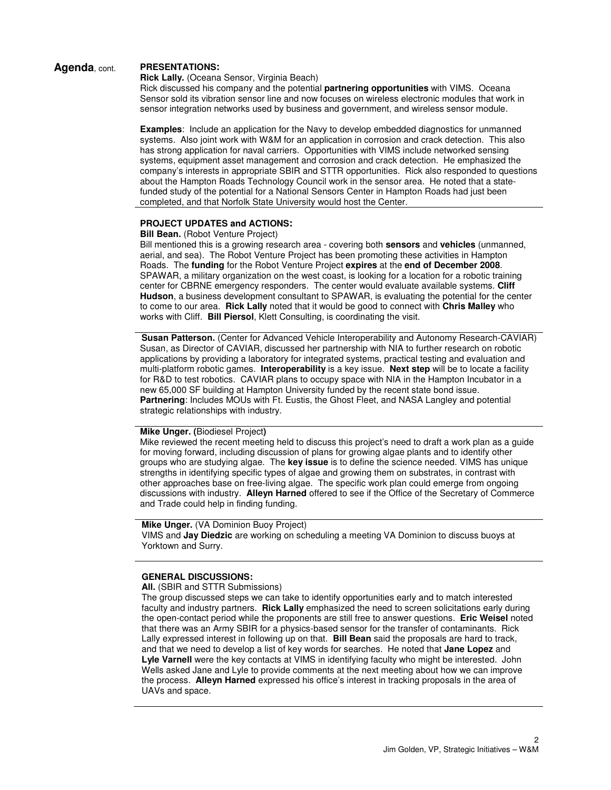## **Agenda**, cont. **PRESENTATIONS:**

**Rick Lally.** (Oceana Sensor, Virginia Beach)

Rick discussed his company and the potential **partnering opportunities** with VIMS. Oceana Sensor sold its vibration sensor line and now focuses on wireless electronic modules that work in sensor integration networks used by business and government, and wireless sensor module.

**Examples**: Include an application for the Navy to develop embedded diagnostics for unmanned systems. Also joint work with W&M for an application in corrosion and crack detection. This also has strong application for naval carriers. Opportunities with VIMS include networked sensing systems, equipment asset management and corrosion and crack detection. He emphasized the company's interests in appropriate SBIR and STTR opportunities. Rick also responded to questions about the Hampton Roads Technology Council work in the sensor area. He noted that a statefunded study of the potential for a National Sensors Center in Hampton Roads had just been completed, and that Norfolk State University would host the Center.

#### **PROJECT UPDATES and ACTIONS:**

#### **Bill Bean.** (Robot Venture Project)

Bill mentioned this is a growing research area - covering both **sensors** and **vehicles** (unmanned, aerial, and sea). The Robot Venture Project has been promoting these activities in Hampton Roads. The **funding** for the Robot Venture Project **expires** at the **end of December 2008**. SPAWAR, a military organization on the west coast, is looking for a location for a robotic training center for CBRNE emergency responders. The center would evaluate available systems. **Cliff Hudson**, a business development consultant to SPAWAR, is evaluating the potential for the center to come to our area. **Rick Lally** noted that it would be good to connect with **Chris Malley** who works with Cliff. **Bill Piersol**, Klett Consulting, is coordinating the visit.

**Susan Patterson.** (Center for Advanced Vehicle Interoperability and Autonomy Research-CAVIAR) Susan, as Director of CAVIAR, discussed her partnership with NIA to further research on robotic applications by providing a laboratory for integrated systems, practical testing and evaluation and multi-platform robotic games. **Interoperability** is a key issue. **Next step** will be to locate a facility for R&D to test robotics. CAVIAR plans to occupy space with NIA in the Hampton Incubator in a new 65,000 SF building at Hampton University funded by the recent state bond issue. **Partnering**: Includes MOUs with Ft. Eustis, the Ghost Fleet, and NASA Langley and potential strategic relationships with industry.

#### **Mike Unger. (**Biodiesel Project**)**

Mike reviewed the recent meeting held to discuss this project's need to draft a work plan as a guide for moving forward, including discussion of plans for growing algae plants and to identify other groups who are studying algae. The **key issue** is to define the science needed. VIMS has unique strengths in identifying specific types of algae and growing them on substrates, in contrast with other approaches base on free-living algae. The specific work plan could emerge from ongoing discussions with industry. **Alleyn Harned** offered to see if the Office of the Secretary of Commerce and Trade could help in finding funding.

### **Mike Unger.** (VA Dominion Buoy Project)

VIMS and **Jay Diedzic** are working on scheduling a meeting VA Dominion to discuss buoys at Yorktown and Surry.

#### **GENERAL DISCUSSIONS:**

**All.** (SBIR and STTR Submissions)

The group discussed steps we can take to identify opportunities early and to match interested faculty and industry partners. **Rick Lally** emphasized the need to screen solicitations early during the open-contact period while the proponents are still free to answer questions. **Eric Weisel** noted that there was an Army SBIR for a physics-based sensor for the transfer of contaminants. Rick Lally expressed interest in following up on that. **Bill Bean** said the proposals are hard to track, and that we need to develop a list of key words for searches. He noted that **Jane Lopez** and **Lyle Varnell** were the key contacts at VIMS in identifying faculty who might be interested. John Wells asked Jane and Lyle to provide comments at the next meeting about how we can improve the process. **Alleyn Harned** expressed his office's interest in tracking proposals in the area of UAVs and space.